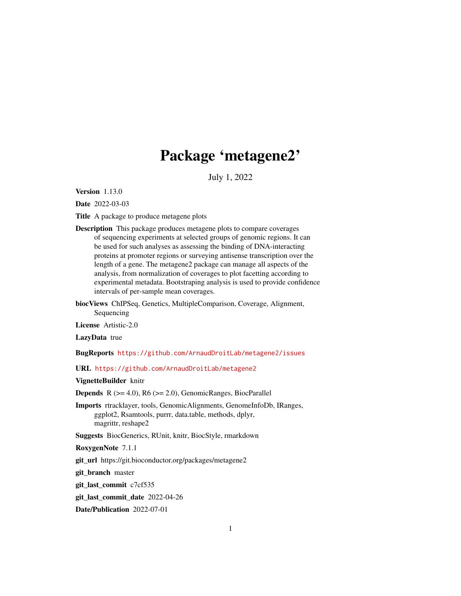# Package 'metagene2'

July 1, 2022

Version 1.13.0

Date 2022-03-03

Title A package to produce metagene plots

- Description This package produces metagene plots to compare coverages of sequencing experiments at selected groups of genomic regions. It can be used for such analyses as assessing the binding of DNA-interacting proteins at promoter regions or surveying antisense transcription over the length of a gene. The metagene2 package can manage all aspects of the analysis, from normalization of coverages to plot facetting according to experimental metadata. Bootstraping analysis is used to provide confidence intervals of per-sample mean coverages.
- biocViews ChIPSeq, Genetics, MultipleComparison, Coverage, Alignment, Sequencing

License Artistic-2.0

LazyData true

BugReports <https://github.com/ArnaudDroitLab/metagene2/issues>

URL <https://github.com/ArnaudDroitLab/metagene2>

VignetteBuilder knitr

**Depends** R  $(>= 4.0)$ , R6  $(>= 2.0)$ , GenomicRanges, BiocParallel

Imports rtracklayer, tools, GenomicAlignments, GenomeInfoDb, IRanges, ggplot2, Rsamtools, purrr, data.table, methods, dplyr, magrittr, reshape2

Suggests BiocGenerics, RUnit, knitr, BiocStyle, rmarkdown

RoxygenNote 7.1.1

git url https://git.bioconductor.org/packages/metagene2

git\_branch master

git\_last\_commit c7cf535

git\_last\_commit\_date 2022-04-26

Date/Publication 2022-07-01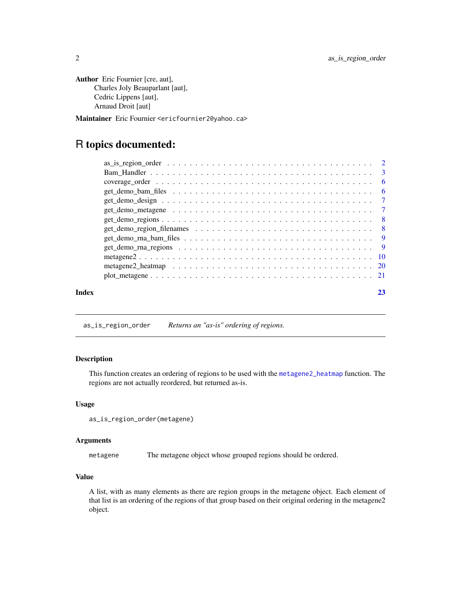```
Author Eric Fournier [cre, aut],
      Charles Joly Beauparlant [aut],
      Cedric Lippens [aut],
      Arnaud Droit [aut]
```
Maintainer Eric Fournier <ericfournier2@yahoo.ca>

# R topics documented:

| Index |  |
|-------|--|

<span id="page-1-1"></span>as\_is\_region\_order *Returns an "as-is" ordering of regions.*

# Description

This function creates an ordering of regions to be used with the [metagene2\\_heatmap](#page-19-1) function. The regions are not actually reordered, but returned as-is.

#### Usage

as\_is\_region\_order(metagene)

# Arguments

metagene The metagene object whose grouped regions should be ordered.

# Value

A list, with as many elements as there are region groups in the metagene object. Each element of that list is an ordering of the regions of that group based on their original ordering in the metagene2 object.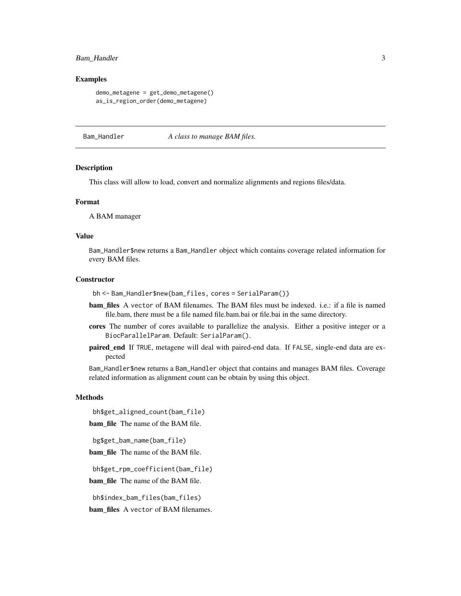# <span id="page-2-0"></span>Bam\_Handler 3

#### Examples

```
demo_metagene = get_demo_metagene()
as_is_region_order(demo_metagene)
```
Bam\_Handler *A class to manage BAM files.*

#### Description

This class will allow to load, convert and normalize alignments and regions files/data.

#### Format

A BAM manager

#### Value

Bam\_Handler\$new returns a Bam\_Handler object which contains coverage related information for every BAM files.

# **Constructor**

bh <- Bam\_Handler\$new(bam\_files, cores = SerialParam())

- bam\_files A vector of BAM filenames. The BAM files must be indexed. i.e.: if a file is named file.bam, there must be a file named file.bam.bai or file.bai in the same directory.
- cores The number of cores available to parallelize the analysis. Either a positive integer or a BiocParallelParam. Default: SerialParam().
- paired\_end If TRUE, metagene will deal with paired-end data. If FALSE, single-end data are expected

Bam\_Handler\$new returns a Bam\_Handler object that contains and manages BAM files. Coverage related information as alignment count can be obtain by using this object.

# **Methods**

bh\$get\_aligned\_count(bam\_file)

bam file The name of the BAM file.

bg\$get\_bam\_name(bam\_file)

bam\_file The name of the BAM file.

bh\$get\_rpm\_coefficient(bam\_file)

bam\_file The name of the BAM file.

bh\$index\_bam\_files(bam\_files)

bam\_files A vector of BAM filenames.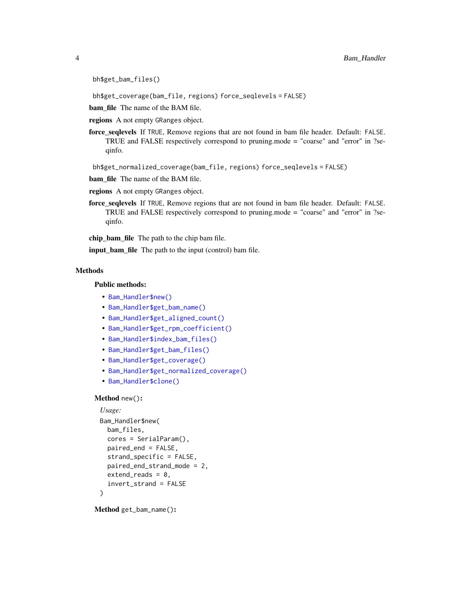```
bh$get_bam_files()
```
bh\$get\_coverage(bam\_file, regions) force\_seqlevels = FALSE)

bam\_file The name of the BAM file.

regions A not empty GRanges object.

force\_seqlevels If TRUE, Remove regions that are not found in bam file header. Default: FALSE. TRUE and FALSE respectively correspond to pruning.mode = "coarse" and "error" in ?seqinfo.

bh\$get\_normalized\_coverage(bam\_file, regions) force\_seqlevels = FALSE)

bam\_file The name of the BAM file.

- regions A not empty GRanges object.
- force\_seqlevels If TRUE, Remove regions that are not found in bam file header. Default: FALSE. TRUE and FALSE respectively correspond to pruning.mode = "coarse" and "error" in ?seqinfo.

chip bam file The path to the chip bam file.

**input\_bam\_file** The path to the input (control) bam file.

# Methods

Public methods:

- [Bam\\_Handler\\$new\(\)](#page-3-0)
- [Bam\\_Handler\\$get\\_bam\\_name\(\)](#page-3-1)
- [Bam\\_Handler\\$get\\_aligned\\_count\(\)](#page-4-0)
- [Bam\\_Handler\\$get\\_rpm\\_coefficient\(\)](#page-4-1)
- [Bam\\_Handler\\$index\\_bam\\_files\(\)](#page-4-2)
- [Bam\\_Handler\\$get\\_bam\\_files\(\)](#page-4-3)
- [Bam\\_Handler\\$get\\_coverage\(\)](#page-4-4)
- [Bam\\_Handler\\$get\\_normalized\\_coverage\(\)](#page-4-5)
- [Bam\\_Handler\\$clone\(\)](#page-4-6)

#### <span id="page-3-0"></span>Method new():

```
Usage:
Bam_Handler$new(
 bam_files,
 cores = SerialParam(),
 paired_end = FALSE,
  strand_specific = FALSE,
 paired_end_strand_mode = 2,
 extend_{reads} = 0,
  invert_strand = FALSE
)
```
<span id="page-3-1"></span>Method get\_bam\_name():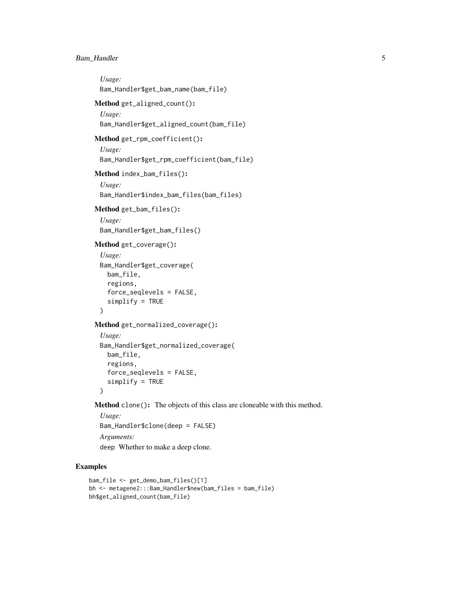# Bam\_Handler 5

```
Usage:
 Bam_Handler$get_bam_name(bam_file)
Method get_aligned_count():
 Usage:
 Bam_Handler$get_aligned_count(bam_file)
Method get_rpm_coefficient():
 Usage:
 Bam_Handler$get_rpm_coefficient(bam_file)
Method index_bam_files():
 Usage:
 Bam_Handler$index_bam_files(bam_files)
Method get_bam_files():
 Usage:
 Bam_Handler$get_bam_files()
Method get_coverage():
 Usage:
 Bam_Handler$get_coverage(
   bam_file,
   regions,
   force_seqlevels = FALSE,
   simplify = TRUE
 \mathcal{L}Method get_normalized_coverage():
 Usage:
 Bam_Handler$get_normalized_coverage(
   bam_file,
   regions,
   force_seqlevels = FALSE,
   simplify = TRUE
 )
Method clone(): The objects of this class are cloneable with this method.
 Usage:
```
<span id="page-4-6"></span><span id="page-4-5"></span>

Bam\_Handler\$clone(deep = FALSE) *Arguments:*

deep Whether to make a deep clone.

# Examples

```
bam_file <- get_demo_bam_files()[1]
bh <- metagene2:::Bam_Handler$new(bam_files = bam_file)
bh$get_aligned_count(bam_file)
```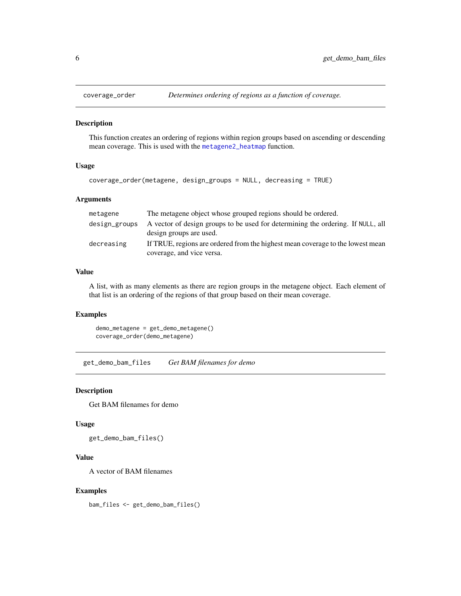<span id="page-5-1"></span><span id="page-5-0"></span>

# Description

This function creates an ordering of regions within region groups based on ascending or descending mean coverage. This is used with the [metagene2\\_heatmap](#page-19-1) function.

# Usage

```
coverage_order(metagene, design_groups = NULL, decreasing = TRUE)
```
# Arguments

| metagene      | The metagene object whose grouped regions should be ordered.                                                |
|---------------|-------------------------------------------------------------------------------------------------------------|
| design_groups | A vector of design groups to be used for determining the ordering. If NULL, all<br>design groups are used.  |
| decreasing    | If TRUE, regions are ordered from the highest mean coverage to the lowest mean<br>coverage, and vice versa. |

#### Value

A list, with as many elements as there are region groups in the metagene object. Each element of that list is an ordering of the regions of that group based on their mean coverage.

# Examples

demo\_metagene = get\_demo\_metagene() coverage\_order(demo\_metagene)

get\_demo\_bam\_files *Get BAM filenames for demo*

## Description

Get BAM filenames for demo

#### Usage

get\_demo\_bam\_files()

# Value

A vector of BAM filenames

#### Examples

bam\_files <- get\_demo\_bam\_files()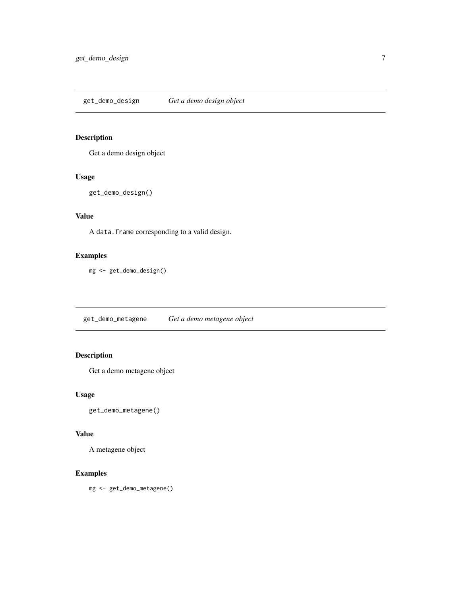# <span id="page-6-0"></span>Description

Get a demo design object

#### Usage

```
get_demo_design()
```
# Value

A data.frame corresponding to a valid design.

# Examples

mg <- get\_demo\_design()

get\_demo\_metagene *Get a demo metagene object*

# Description

Get a demo metagene object

# Usage

get\_demo\_metagene()

# Value

A metagene object

# Examples

mg <- get\_demo\_metagene()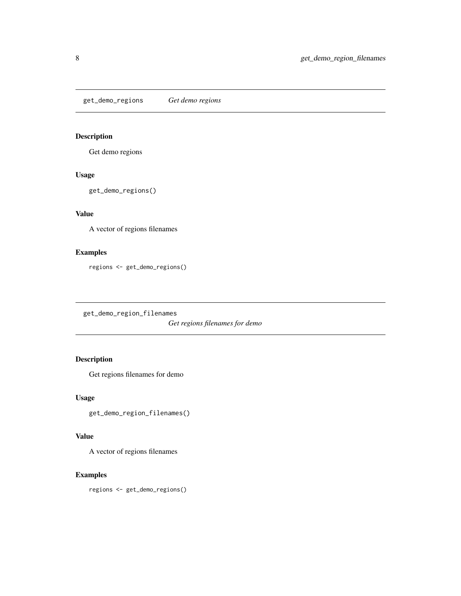<span id="page-7-0"></span>get\_demo\_regions *Get demo regions*

# Description

Get demo regions

# Usage

get\_demo\_regions()

# Value

A vector of regions filenames

# Examples

regions <- get\_demo\_regions()

get\_demo\_region\_filenames

*Get regions filenames for demo*

# Description

Get regions filenames for demo

#### Usage

get\_demo\_region\_filenames()

# Value

A vector of regions filenames

# Examples

regions <- get\_demo\_regions()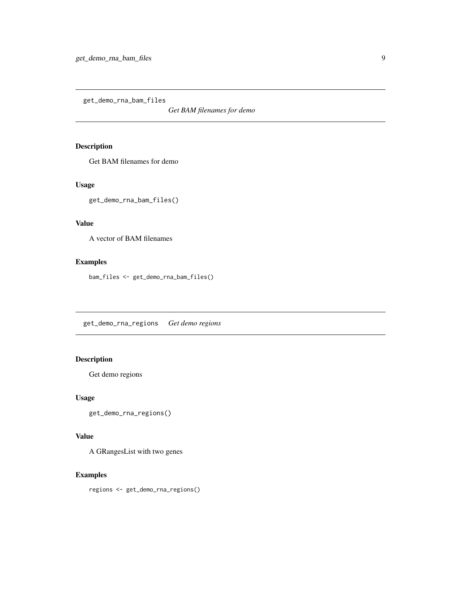<span id="page-8-0"></span>get\_demo\_rna\_bam\_files

*Get BAM filenames for demo*

# Description

Get BAM filenames for demo

#### Usage

get\_demo\_rna\_bam\_files()

# Value

A vector of BAM filenames

# Examples

bam\_files <- get\_demo\_rna\_bam\_files()

get\_demo\_rna\_regions *Get demo regions*

# Description

Get demo regions

#### Usage

get\_demo\_rna\_regions()

# Value

A GRangesList with two genes

# Examples

regions <- get\_demo\_rna\_regions()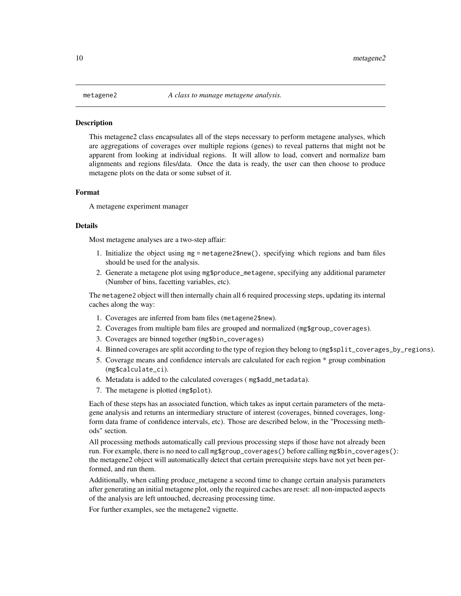#### <span id="page-9-0"></span>**Description**

This metagene2 class encapsulates all of the steps necessary to perform metagene analyses, which are aggregations of coverages over multiple regions (genes) to reveal patterns that might not be apparent from looking at individual regions. It will allow to load, convert and normalize bam alignments and regions files/data. Once the data is ready, the user can then choose to produce metagene plots on the data or some subset of it.

#### Format

A metagene experiment manager

#### Details

Most metagene analyses are a two-step affair:

- 1. Initialize the object using mg = metagene2\$new(), specifying which regions and bam files should be used for the analysis.
- 2. Generate a metagene plot using mg\$produce\_metagene, specifying any additional parameter (Number of bins, facetting variables, etc).

The metagene2 object will then internally chain all 6 required processing steps, updating its internal caches along the way:

- 1. Coverages are inferred from bam files (metagene2\$new).
- 2. Coverages from multiple bam files are grouped and normalized (mg\$group\_coverages).
- 3. Coverages are binned together (mg\$bin\_coverages)
- 4. Binned coverages are split according to the type of region they belong to (mg\$split\_coverages\_by\_regions).
- 5. Coverage means and confidence intervals are calculated for each region \* group combination (mg\$calculate\_ci).
- 6. Metadata is added to the calculated coverages ( mg\$add\_metadata).
- 7. The metagene is plotted (mg\$plot).

Each of these steps has an associated function, which takes as input certain parameters of the metagene analysis and returns an intermediary structure of interest (coverages, binned coverages, longform data frame of confidence intervals, etc). Those are described below, in the "Processing methods" section.

All processing methods automatically call previous processing steps if those have not already been run. For example, there is no need to call mg\$group\_coverages() before calling mg\$bin\_coverages(): the metagene2 object will automatically detect that certain prerequisite steps have not yet been performed, and run them.

Additionally, when calling produce\_metagene a second time to change certain analysis parameters after generating an initial metagene plot, only the required caches are reset: all non-impacted aspects of the analysis are left untouched, decreasing processing time.

For further examples, see the metagene2 vignette.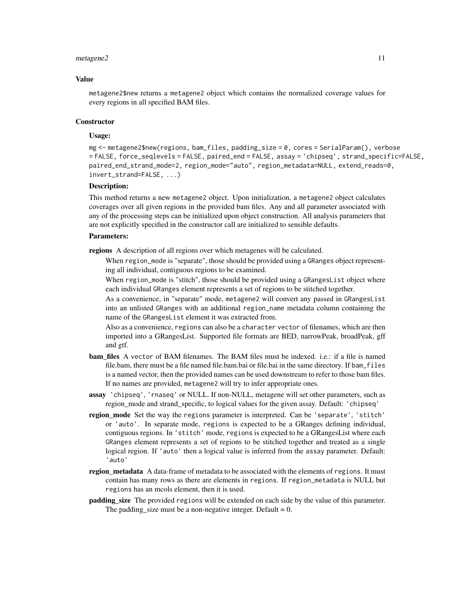#### $metagene2$  11

#### Value

metagene2\$new returns a metagene2 object which contains the normalized coverage values for every regions in all specified BAM files.

#### **Constructor**

# Usage:

mg <- metagene2\$new(regions, bam\_files, padding\_size = 0, cores = SerialParam(), verbose = FALSE, force\_seqlevels = FALSE, paired\_end = FALSE, assay = 'chipseq', strand\_specific=FALSE, paired\_end\_strand\_mode=2, region\_mode="auto", region\_metadata=NULL, extend\_reads=0, invert\_strand=FALSE, ...)

# Description:

This method returns a new metagene2 object. Upon initialization, a metagene2 object calculates coverages over all given regions in the provided bam files. Any and all parameter associated with any of the processing steps can be initialized upon object construction. All analysis parameters that are not explicitly specified in the constructor call are initialized to sensible defaults.

#### Parameters:

regions A description of all regions over which metagenes will be calculated.

When region\_mode is "separate", those should be provided using a GRanges object representing all individual, contiguous regions to be examined.

When region\_mode is "stitch", those should be provided using a GRangesList object where each individual GRanges element represents a set of regions to be stitched together.

As a convenience, in "separate" mode, metagene2 will convert any passed in GRangesList into an unlisted GRanges with an additional region\_name metadata column containing the name of the GRangesList element it was extracted from.

Also as a convenience, regions can also be a character vector of filenames, which are then imported into a GRangesList. Supported file formats are BED, narrowPeak, broadPeak, gff and gtf.

- bam\_files A vector of BAM filenames. The BAM files must be indexed. i.e.: if a file is named file.bam, there must be a file named file.bam.bai or file.bai in the same directory. If bam\_files is a named vector, then the provided names can be used downstream to refer to those bam files. If no names are provided, metagene2 will try to infer appropriate ones.
- assay 'chipseq', 'rnaseq' or NULL. If non-NULL, metagene will set other parameters, such as region\_mode and strand\_specific, to logical values for the given assay. Default: 'chipseq'
- region\_mode Set the way the regions parameter is interpreted. Can be 'separate', 'stitch' or 'auto'. In separate mode, regions is expected to be a GRanges defining individual, contiguous regions. In 'stitch' mode, regions is expected to be a GRangesList where each GRanges element represents a set of regions to be stitched together and treated as a single logical region. If 'auto' then a logical value is inferred from the assay parameter. Default: 'auto'
- region\_metadata A data-frame of metadata to be associated with the elements of regions. It must contain has many rows as there are elements in regions. If region\_metadata is NULL but regions has an mcols element, then it is used.
- **padding size** The provided regions will be extended on each side by the value of this parameter. The padding\_size must be a non-negative integer. Default  $= 0$ .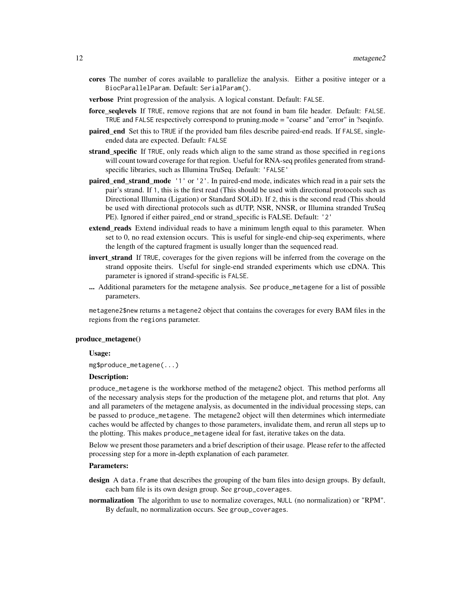- cores The number of cores available to parallelize the analysis. Either a positive integer or a BiocParallelParam. Default: SerialParam().
- verbose Print progression of the analysis. A logical constant. Default: FALSE.
- force\_seqlevels If TRUE, remove regions that are not found in bam file header. Default: FALSE. TRUE and FALSE respectively correspond to pruning.mode = "coarse" and "error" in ?seqinfo.
- **paired end** Set this to TRUE if the provided bam files describe paired-end reads. If FALSE, singleended data are expected. Default: FALSE
- strand\_specific If TRUE, only reads which align to the same strand as those specified in regions will count toward coverage for that region. Useful for RNA-seq profiles generated from strandspecific libraries, such as Illumina TruSeq. Default: 'FALSE'
- paired\_end\_strand\_mode '1' or '2'. In paired-end mode, indicates which read in a pair sets the pair's strand. If 1, this is the first read (This should be used with directional protocols such as Directional Illumina (Ligation) or Standard SOLiD). If 2, this is the second read (This should be used with directional protocols such as dUTP, NSR, NNSR, or Illumina stranded TruSeq PE). Ignored if either paired\_end or strand\_specific is FALSE. Default: '2'
- extend reads Extend individual reads to have a minimum length equal to this parameter. When set to 0, no read extension occurs. This is useful for single-end chip-seq experiments, where the length of the captured fragment is usually longer than the sequenced read.
- invert strand If TRUE, coverages for the given regions will be inferred from the coverage on the strand opposite theirs. Useful for single-end stranded experiments which use cDNA. This parameter is ignored if strand-specific is FALSE.
- ... Additional parameters for the metagene analysis. See produce\_metagene for a list of possible parameters.

metagene2\$new returns a metagene2 object that contains the coverages for every BAM files in the regions from the regions parameter.

#### produce\_metagene()

#### Usage:

mg\$produce\_metagene(...)

#### Description:

produce\_metagene is the workhorse method of the metagene2 object. This method performs all of the necessary analysis steps for the production of the metagene plot, and returns that plot. Any and all parameters of the metagene analysis, as documented in the individual processing steps, can be passed to produce\_metagene. The metagene2 object will then determines which intermediate caches would be affected by changes to those parameters, invalidate them, and rerun all steps up to the plotting. This makes produce\_metagene ideal for fast, iterative takes on the data.

Below we present those parameters and a brief description of their usage. Please refer to the affected processing step for a more in-depth explanation of each parameter.

#### Parameters:

design A data. frame that describes the grouping of the bam files into design groups. By default, each bam file is its own design group. See group\_coverages.

normalization The algorithm to use to normalize coverages, NULL (no normalization) or "RPM". By default, no normalization occurs. See group\_coverages.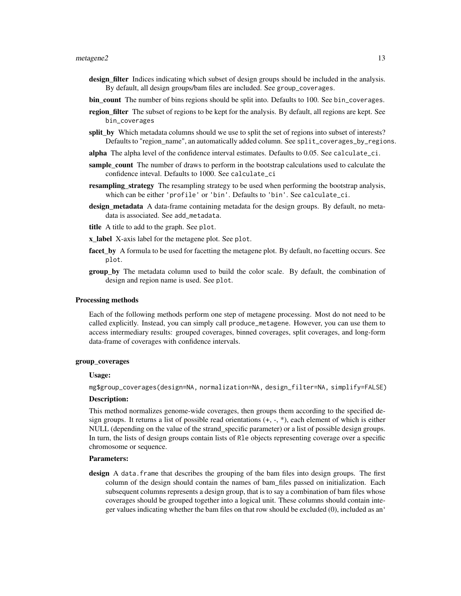#### $metagene2$  13

- design\_filter Indices indicating which subset of design groups should be included in the analysis. By default, all design groups/bam files are included. See group\_coverages.
- bin\_count The number of bins regions should be split into. Defaults to 100. See bin\_coverages.
- region\_filter The subset of regions to be kept for the analysis. By default, all regions are kept. See bin\_coverages
- split\_by Which metadata columns should we use to split the set of regions into subset of interests? Defaults to "region\_name", an automatically added column. See split\_coverages\_by\_regions.
- alpha The alpha level of the confidence interval estimates. Defaults to 0.05. See calculate\_ci.
- sample count The number of draws to perform in the bootstrap calculations used to calculate the confidence inteval. Defaults to 1000. See calculate\_ci
- **resampling\_strategy** The resampling strategy to be used when performing the bootstrap analysis, which can be either 'profile' or 'bin'. Defaults to 'bin'. See calculate\_ci.
- design\_metadata A data-frame containing metadata for the design groups. By default, no metadata is associated. See add\_metadata.
- title A title to add to the graph. See plot.
- x\_label X-axis label for the metagene plot. See plot.
- facet\_by A formula to be used for facetting the metagene plot. By default, no facetting occurs. See plot.
- group\_by The metadata column used to build the color scale. By default, the combination of design and region name is used. See plot.

#### Processing methods

Each of the following methods perform one step of metagene processing. Most do not need to be called explicitly. Instead, you can simply call produce\_metagene. However, you can use them to access intermediary results: grouped coverages, binned coverages, split coverages, and long-form data-frame of coverages with confidence intervals.

#### group\_coverages

#### Usage:

mg\$group\_coverages(design=NA, normalization=NA, design\_filter=NA, simplify=FALSE)

#### Description:

This method normalizes genome-wide coverages, then groups them according to the specified design groups. It returns a list of possible read orientations  $(+, -, *,)$ , each element of which is either NULL (depending on the value of the strand\_specific parameter) or a list of possible design groups. In turn, the lists of design groups contain lists of Rle objects representing coverage over a specific chromosome or sequence.

#### Parameters:

design A data. frame that describes the grouping of the bam files into design groups. The first column of the design should contain the names of bam\_files passed on initialization. Each subsequent columns represents a design group, that is to say a combination of bam files whose coverages should be grouped together into a logical unit. These columns should contain integer values indicating whether the bam files on that row should be excluded (0), included as an'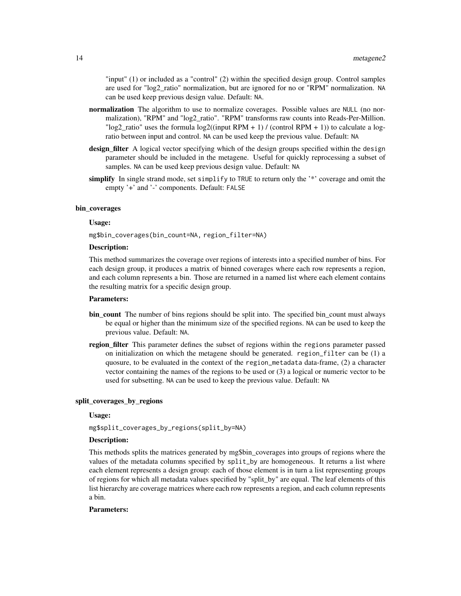"input" (1) or included as a "control" (2) within the specified design group. Control samples are used for "log2\_ratio" normalization, but are ignored for no or "RPM" normalization. NA can be used keep previous design value. Default: NA.

- normalization The algorithm to use to normalize coverages. Possible values are NULL (no normalization), "RPM" and "log2\_ratio". "RPM" transforms raw counts into Reads-Per-Million. " $log2$ <sub>ratio</sub>" uses the formula  $log2((input RPM + 1) / (control RPM + 1))$  to calculate a logratio between input and control. NA can be used keep the previous value. Default: NA
- design\_filter A logical vector specifying which of the design groups specified within the design parameter should be included in the metagene. Useful for quickly reprocessing a subset of samples. NA can be used keep previous design value. Default: NA
- simplify In single strand mode, set simplify to TRUE to return only the '\*' coverage and omit the empty '+' and '-' components. Default: FALSE

#### bin\_coverages

# Usage:

mg\$bin\_coverages(bin\_count=NA, region\_filter=NA)

#### Description:

This method summarizes the coverage over regions of interests into a specified number of bins. For each design group, it produces a matrix of binned coverages where each row represents a region, and each column represents a bin. Those are returned in a named list where each element contains the resulting matrix for a specific design group.

#### Parameters:

- bin\_count The number of bins regions should be split into. The specified bin\_count must always be equal or higher than the minimum size of the specified regions. NA can be used to keep the previous value. Default: NA.
- region filter This parameter defines the subset of regions within the regions parameter passed on initialization on which the metagene should be generated. region\_filter can be (1) a quosure, to be evaluated in the context of the region\_metadata data-frame, (2) a character vector containing the names of the regions to be used or (3) a logical or numeric vector to be used for subsetting. NA can be used to keep the previous value. Default: NA

# split\_coverages\_by\_regions

#### Usage:

mg\$split\_coverages\_by\_regions(split\_by=NA)

#### Description:

This methods splits the matrices generated by mg\$bin\_coverages into groups of regions where the values of the metadata columns specified by split\_by are homogeneous. It returns a list where each element represents a design group: each of those element is in turn a list representing groups of regions for which all metadata values specified by "split\_by" are equal. The leaf elements of this list hierarchy are coverage matrices where each row represents a region, and each column represents a bin.

#### Parameters: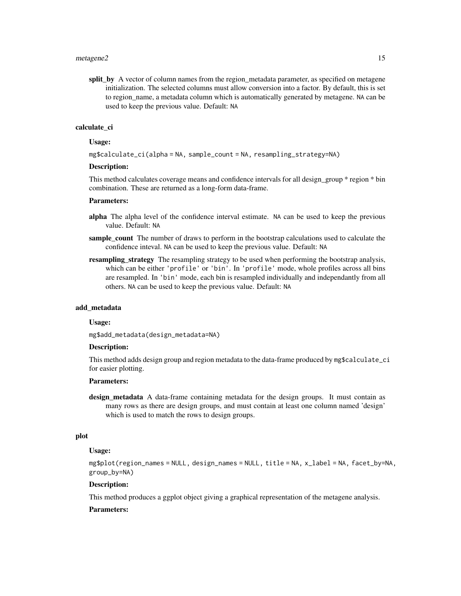split\_by A vector of column names from the region\_metadata parameter, as specified on metagene initialization. The selected columns must allow conversion into a factor. By default, this is set to region name, a metadata column which is automatically generated by metagene. NA can be used to keep the previous value. Default: NA

# calculate\_ci

#### Usage:

mg\$calculate\_ci(alpha = NA, sample\_count = NA, resampling\_strategy=NA)

#### Description:

This method calculates coverage means and confidence intervals for all design\_group \* region \* bin combination. These are returned as a long-form data-frame.

#### Parameters:

- alpha The alpha level of the confidence interval estimate. NA can be used to keep the previous value. Default: NA
- sample count The number of draws to perform in the bootstrap calculations used to calculate the confidence inteval. NA can be used to keep the previous value. Default: NA
- **resampling\_strategy** The resampling strategy to be used when performing the bootstrap analysis, which can be either 'profile' or 'bin'. In 'profile' mode, whole profiles across all bins are resampled. In 'bin' mode, each bin is resampled individually and independantly from all others. NA can be used to keep the previous value. Default: NA

#### add\_metadata

#### Usage:

mg\$add\_metadata(design\_metadata=NA)

#### Description:

This method adds design group and region metadata to the data-frame produced by mg\$calculate\_ci for easier plotting.

#### Parameters:

design\_metadata A data-frame containing metadata for the design groups. It must contain as many rows as there are design groups, and must contain at least one column named 'design' which is used to match the rows to design groups.

#### plot

# Usage:

mg\$plot(region\_names = NULL, design\_names = NULL, title = NA, x\_label = NA, facet\_by=NA, group\_by=NA)

# Description:

This method produces a ggplot object giving a graphical representation of the metagene analysis.

# Parameters: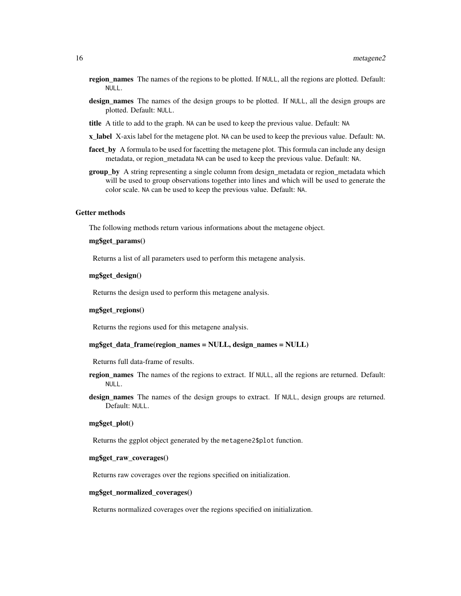- region\_names The names of the regions to be plotted. If NULL, all the regions are plotted. Default: NULL.
- design\_names The names of the design groups to be plotted. If NULL, all the design groups are plotted. Default: NULL.
- title A title to add to the graph. NA can be used to keep the previous value. Default: NA
- **x\_label** X-axis label for the metagene plot. NA can be used to keep the previous value. Default: NA.
- facet\_by A formula to be used for facetting the metagene plot. This formula can include any design metadata, or region\_metadata NA can be used to keep the previous value. Default: NA.
- group\_by A string representing a single column from design\_metadata or region\_metadata which will be used to group observations together into lines and which will be used to generate the color scale. NA can be used to keep the previous value. Default: NA.

#### Getter methods

The following methods return various informations about the metagene object.

#### mg\$get\_params()

Returns a list of all parameters used to perform this metagene analysis.

#### mg\$get\_design()

Returns the design used to perform this metagene analysis.

#### mg\$get\_regions()

Returns the regions used for this metagene analysis.

#### mg\$get\_data\_frame(region\_names = NULL, design\_names = NULL)

Returns full data-frame of results.

- region\_names The names of the regions to extract. If NULL, all the regions are returned. Default: NULL.
- design\_names The names of the design groups to extract. If NULL, design groups are returned. Default: NULL.

#### mg\$get\_plot()

Returns the ggplot object generated by the metagene2\$plot function.

#### mg\$get\_raw\_coverages()

Returns raw coverages over the regions specified on initialization.

#### mg\$get\_normalized\_coverages()

Returns normalized coverages over the regions specified on initialization.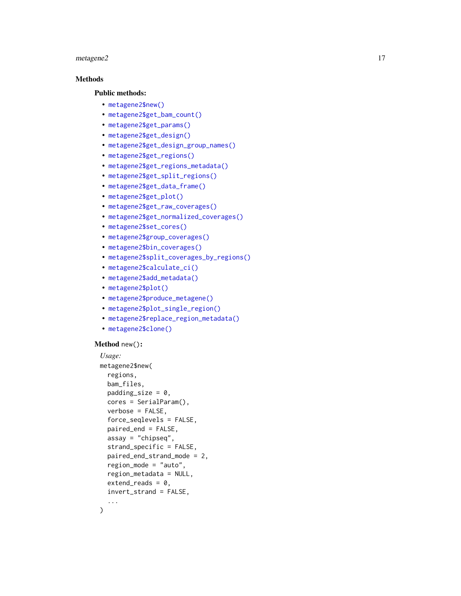#### $metagene2$  and  $17$

# Methods

# Public methods:

- [metagene2\\$new\(\)](#page-3-0)
- [metagene2\\$get\\_bam\\_count\(\)](#page-16-0)
- [metagene2\\$get\\_params\(\)](#page-17-0)
- [metagene2\\$get\\_design\(\)](#page-17-1)
- [metagene2\\$get\\_design\\_group\\_names\(\)](#page-17-2)
- [metagene2\\$get\\_regions\(\)](#page-17-3)
- [metagene2\\$get\\_regions\\_metadata\(\)](#page-17-4)
- [metagene2\\$get\\_split\\_regions\(\)](#page-17-5)
- [metagene2\\$get\\_data\\_frame\(\)](#page-17-6)
- [metagene2\\$get\\_plot\(\)](#page-17-7)
- [metagene2\\$get\\_raw\\_coverages\(\)](#page-17-8)
- [metagene2\\$get\\_normalized\\_coverages\(\)](#page-17-9)
- [metagene2\\$set\\_cores\(\)](#page-17-10)
- [metagene2\\$group\\_coverages\(\)](#page-18-0)
- [metagene2\\$bin\\_coverages\(\)](#page-18-1)
- [metagene2\\$split\\_coverages\\_by\\_regions\(\)](#page-18-2)
- [metagene2\\$calculate\\_ci\(\)](#page-18-3)
- [metagene2\\$add\\_metadata\(\)](#page-18-4)
- [metagene2\\$plot\(\)](#page-18-5)
- [metagene2\\$produce\\_metagene\(\)](#page-18-6)
- [metagene2\\$plot\\_single\\_region\(\)](#page-18-7)
- [metagene2\\$replace\\_region\\_metadata\(\)](#page-19-2)
- [metagene2\\$clone\(\)](#page-4-6)

#### Method new() :

```
Usage:
metagene2$new(
  regions,
 bam_files,
 padding_size = 0,
  cores = SerialParam(),
 verbose = FALSE,
  force_seqlevels = FALSE,
  paired_end = FALSE,
  assay = "chipseq",
  strand_specific = FALSE,
 paired_end_strand_mode = 2,
  region_mode = "auto",
  region_metadata = NULL,
  extend_{reads} = 0,
  invert_strand = FALSE,
  ...
)
```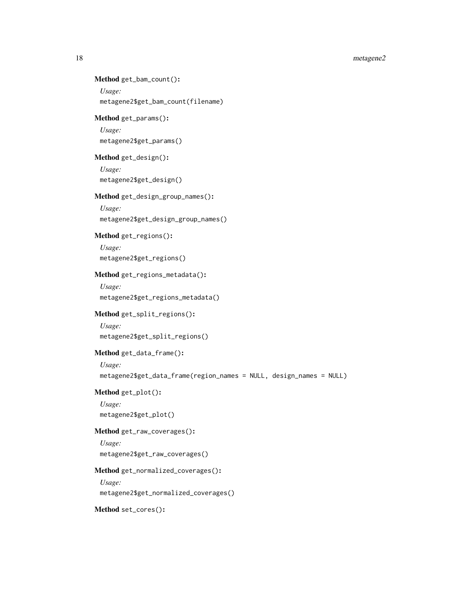18 metagene2

```
Method get_bam_count():
 Usage:
 metagene2$get_bam_count(filename)
Method get_params():
 Usage:
 metagene2$get_params()
Method get_design():
 Usage:
 metagene2$get_design()
Method get_design_group_names():
 Usage:
 metagene2$get_design_group_names()
Method get_regions():
 Usage:
 metagene2$get_regions()
Method get_regions_metadata():
 Usage:
 metagene2$get_regions_metadata()
Method get_split_regions():
 Usage:
 metagene2$get_split_regions()
Method get_data_frame():
 Usage:
 metagene2$get_data_frame(region_names = NULL, design_names = NULL)
Method get_plot():
 Usage:
 metagene2$get_plot()
Method get_raw_coverages():
 Usage:
 metagene2$get_raw_coverages()
Method get_normalized_coverages():
 Usage:
 metagene2$get_normalized_coverages()
Method set_cores():
```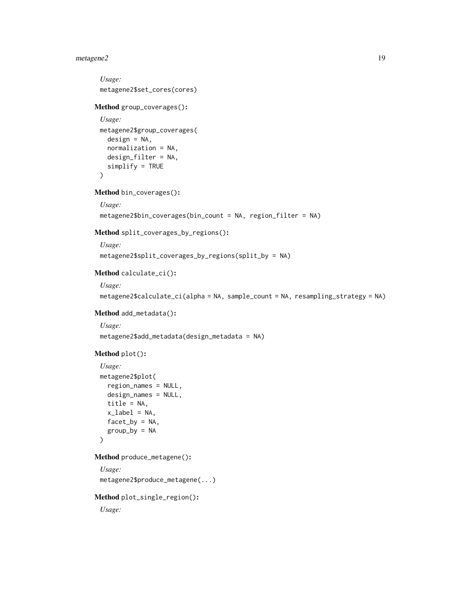# metagene2 19

```
Usage:
 metagene2$set_cores(cores)
Method group_coverages():
 Usage:
 metagene2$group_coverages(
   design = NA,normalization = NA,
   design_filter = NA,
   simplify = TRUE
 \lambdaMethod bin_coverages():
 Usage:
 metagene2$bin_coverages(bin_count = NA, region_filter = NA)
Method split_coverages_by_regions():
 Usage:
 metagene2$split_coverages_by_regions(split_by = NA)
Method calculate_ci():
 Usage:
 metagene2$calculate_ci(alpha = NA, sample_count = NA, resampling_strategy = NA)
Method add_metadata():
 Usage:
 metagene2$add_metadata(design_metadata = NA)
Method plot():
 Usage:
 metagene2$plot(
   region_names = NULL,
   design_names = NULL,
   title = NA,
   x<sup>l</sup>abel = NA,
   facet_by = NA,
   group_by = NA\lambdaMethod produce_metagene():
 Usage:
 metagene2$produce_metagene(...)
Method plot_single_region():
 Usage:
```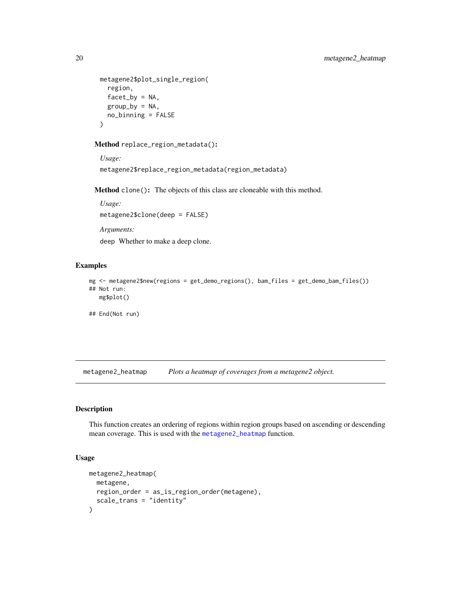```
metagene2$plot_single_region(
  region,
  facet_by = NA,
 group_by = NA,
 no_binning = FALSE
)
```
<span id="page-19-2"></span>Method replace\_region\_metadata():

```
Usage:
metagene2$replace_region_metadata(region_metadata)
```
Method clone(): The objects of this class are cloneable with this method.

```
Usage:
metagene2$clone(deep = FALSE)
Arguments:
```
deep Whether to make a deep clone.

# Examples

```
mg <- metagene2$new(regions = get_demo_regions(), bam_files = get_demo_bam_files())
## Not run:
   mg$plot()
```
## End(Not run)

<span id="page-19-1"></span>metagene2\_heatmap *Plots a heatmap of coverages from a metagene2 object.*

# Description

This function creates an ordering of regions within region groups based on ascending or descending mean coverage. This is used with the [metagene2\\_heatmap](#page-19-1) function.

# Usage

```
metagene2_heatmap(
  metagene,
  region_order = as_is_region_order(metagene),
  scale_trans = "identity"
\mathcal{E}
```
<span id="page-19-0"></span>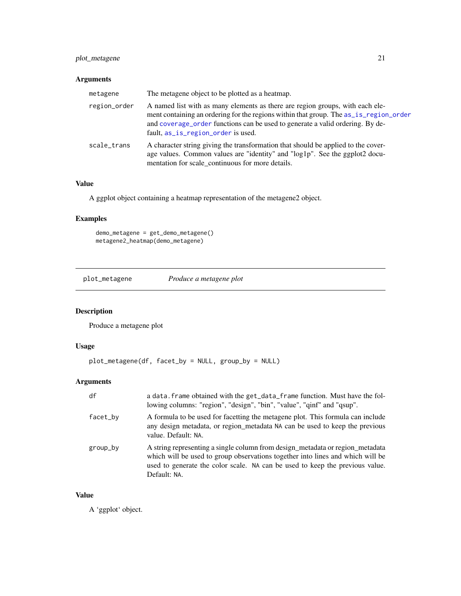# <span id="page-20-0"></span>plot\_metagene 21

# Arguments

| metagene     | The metagene object to be plotted as a heatmap.                                                                                                                                                                                                                                               |
|--------------|-----------------------------------------------------------------------------------------------------------------------------------------------------------------------------------------------------------------------------------------------------------------------------------------------|
| region_order | A named list with as many elements as there are region groups, with each ele-<br>ment containing an ordering for the regions within that group. The as_is_region_order<br>and coverage_order functions can be used to generate a valid ordering. By de-<br>fault, as_is_region_order is used. |
| scale trans  | A character string giving the transformation that should be applied to the cover-<br>age values. Common values are "identity" and "log1p". See the ggplot2 docu-<br>mentation for scale continuous for more details.                                                                          |

# Value

A ggplot object containing a heatmap representation of the metagene2 object.

# Examples

demo\_metagene = get\_demo\_metagene() metagene2\_heatmap(demo\_metagene)

plot\_metagene *Produce a metagene plot*

# Description

Produce a metagene plot

# Usage

```
plot_metagene(df, facet_by = NULL, group_by = NULL)
```
# Arguments

| df       | a data. frame obtained with the get_data_frame function. Must have the fol-<br>lowing columns: "region", "design", "bin", "value", "qinf" and "qsup".                                                                                                           |
|----------|-----------------------------------------------------------------------------------------------------------------------------------------------------------------------------------------------------------------------------------------------------------------|
| facet_by | A formula to be used for facetting the metagene plot. This formula can include<br>any design metadata, or region_metadata NA can be used to keep the previous<br>value. Default: NA.                                                                            |
| group_by | A string representing a single column from design_metadata or region_metadata<br>which will be used to group observations together into lines and which will be<br>used to generate the color scale. NA can be used to keep the previous value.<br>Default: NA. |

# Value

A 'ggplot' object.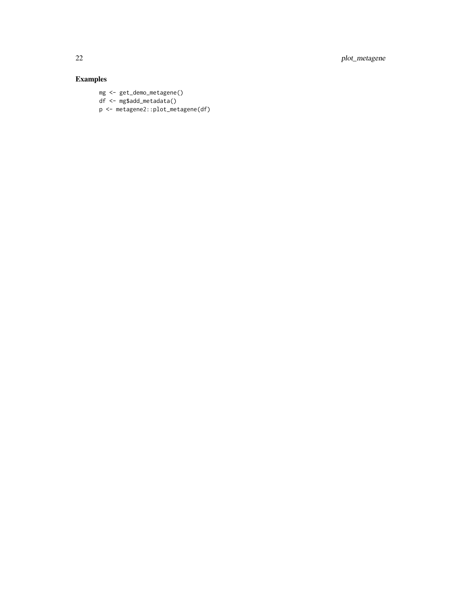22 plot\_metagene

# Examples

mg <- get\_demo\_metagene() df <- mg\$add\_metadata() p <- metagene2::plot\_metagene(df)